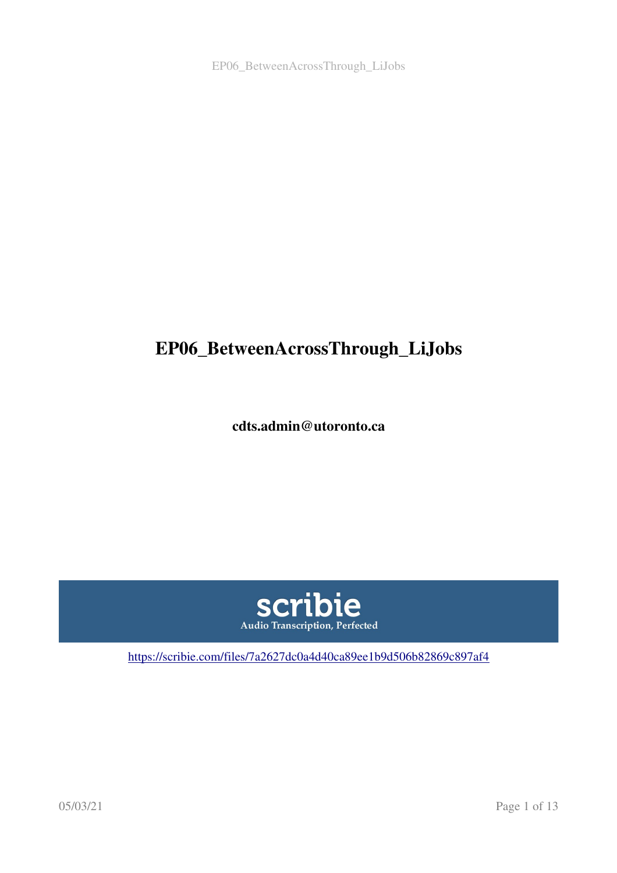# EP06\_BetweenAcrossThrough\_LiJobs

cdts.admin@utoronto.ca



<https://scribie.com/files/7a2627dc0a4d40ca89ee1b9d506b82869c897af4>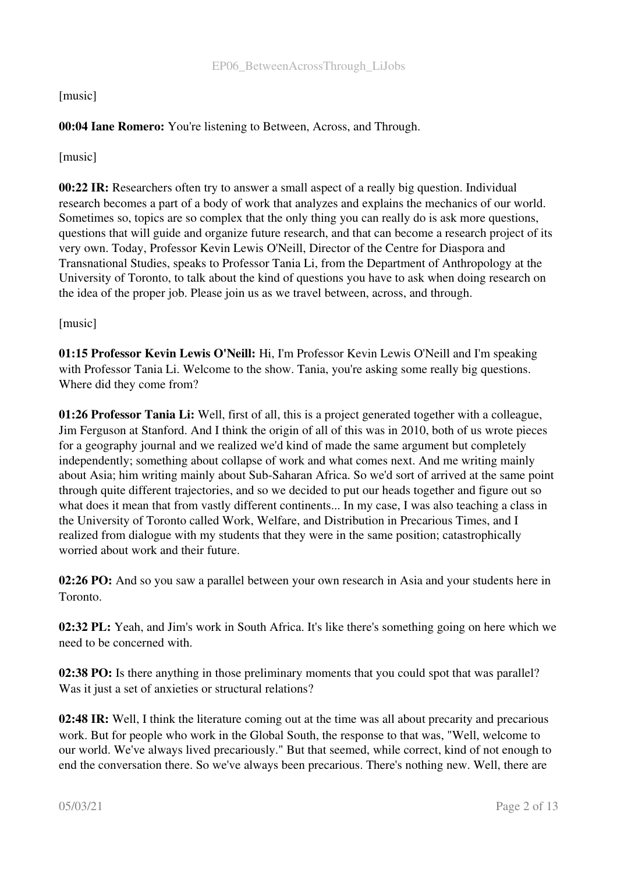# [music]

# 00:04 Iane Romero: You're listening to Between, Across, and Through.

[music]

00:22 IR: Researchers often try to answer a small aspect of a really big question. Individual research becomes a part of a body of work that analyzes and explains the mechanics of our world. Sometimes so, topics are so complex that the only thing you can really do is ask more questions, questions that will guide and organize future research, and that can become a research project of its very own. Today, Professor Kevin Lewis O'Neill, Director of the Centre for Diaspora and Transnational Studies, speaks to Professor Tania Li, from the Department of Anthropology at the University of Toronto, to talk about the kind of questions you have to ask when doing research on the idea of the proper job. Please join us as we travel between, across, and through.

### [music]

01:15 Professor Kevin Lewis O'Neill: Hi, I'm Professor Kevin Lewis O'Neill and I'm speaking with Professor Tania Li. Welcome to the show. Tania, you're asking some really big questions. Where did they come from?

01:26 Professor Tania Li: Well, first of all, this is a project generated together with a colleague, Jim Ferguson at Stanford. And I think the origin of all of this was in 2010, both of us wrote pieces for a geography journal and we realized we'd kind of made the same argument but completely independently; something about collapse of work and what comes next. And me writing mainly about Asia; him writing mainly about Sub-Saharan Africa. So we'd sort of arrived at the same point through quite different trajectories, and so we decided to put our heads together and figure out so what does it mean that from vastly different continents... In my case, I was also teaching a class in the University of Toronto called Work, Welfare, and Distribution in Precarious Times, and I realized from dialogue with my students that they were in the same position; catastrophically worried about work and their future.

02:26 PO: And so you saw a parallel between your own research in Asia and your students here in Toronto.

02:32 PL: Yeah, and Jim's work in South Africa. It's like there's something going on here which we need to be concerned with.

**02:38 PO:** Is there anything in those preliminary moments that you could spot that was parallel? Was it just a set of anxieties or structural relations?

02:48 IR: Well, I think the literature coming out at the time was all about precarity and precarious work. But for people who work in the Global South, the response to that was, "Well, welcome to our world. We've always lived precariously." But that seemed, while correct, kind of not enough to end the conversation there. So we've always been precarious. There's nothing new. Well, there are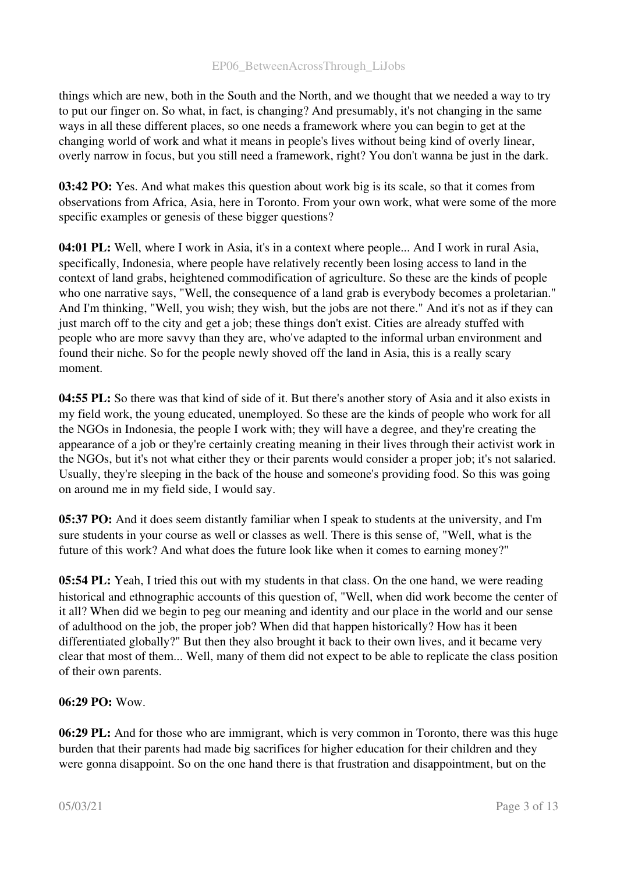things which are new, both in the South and the North, and we thought that we needed a way to try to put our finger on. So what, in fact, is changing? And presumably, it's not changing in the same ways in all these different places, so one needs a framework where you can begin to get at the changing world of work and what it means in people's lives without being kind of overly linear, overly narrow in focus, but you still need a framework, right? You don't wanna be just in the dark.

03:42 PO: Yes. And what makes this question about work big is its scale, so that it comes from observations from Africa, Asia, here in Toronto. From your own work, what were some of the more specific examples or genesis of these bigger questions?

04:01 PL: Well, where I work in Asia, it's in a context where people... And I work in rural Asia, specifically, Indonesia, where people have relatively recently been losing access to land in the context of land grabs, heightened commodification of agriculture. So these are the kinds of people who one narrative says, "Well, the consequence of a land grab is everybody becomes a proletarian." And I'm thinking, "Well, you wish; they wish, but the jobs are not there." And it's not as if they can just march off to the city and get a job; these things don't exist. Cities are already stuffed with people who are more savvy than they are, who've adapted to the informal urban environment and found their niche. So for the people newly shoved off the land in Asia, this is a really scary moment.

04:55 PL: So there was that kind of side of it. But there's another story of Asia and it also exists in my field work, the young educated, unemployed. So these are the kinds of people who work for all the NGOs in Indonesia, the people I work with; they will have a degree, and they're creating the appearance of a job or they're certainly creating meaning in their lives through their activist work in the NGOs, but it's not what either they or their parents would consider a proper job; it's not salaried. Usually, they're sleeping in the back of the house and someone's providing food. So this was going on around me in my field side, I would say.

05:37 PO: And it does seem distantly familiar when I speak to students at the university, and I'm sure students in your course as well or classes as well. There is this sense of, "Well, what is the future of this work? And what does the future look like when it comes to earning money?"

05:54 PL: Yeah, I tried this out with my students in that class. On the one hand, we were reading historical and ethnographic accounts of this question of, "Well, when did work become the center of it all? When did we begin to peg our meaning and identity and our place in the world and our sense of adulthood on the job, the proper job? When did that happen historically? How has it been differentiated globally?" But then they also brought it back to their own lives, and it became very clear that most of them... Well, many of them did not expect to be able to replicate the class position of their own parents.

# 06:29 PO: Wow.

06:29 PL: And for those who are immigrant, which is very common in Toronto, there was this huge burden that their parents had made big sacrifices for higher education for their children and they were gonna disappoint. So on the one hand there is that frustration and disappointment, but on the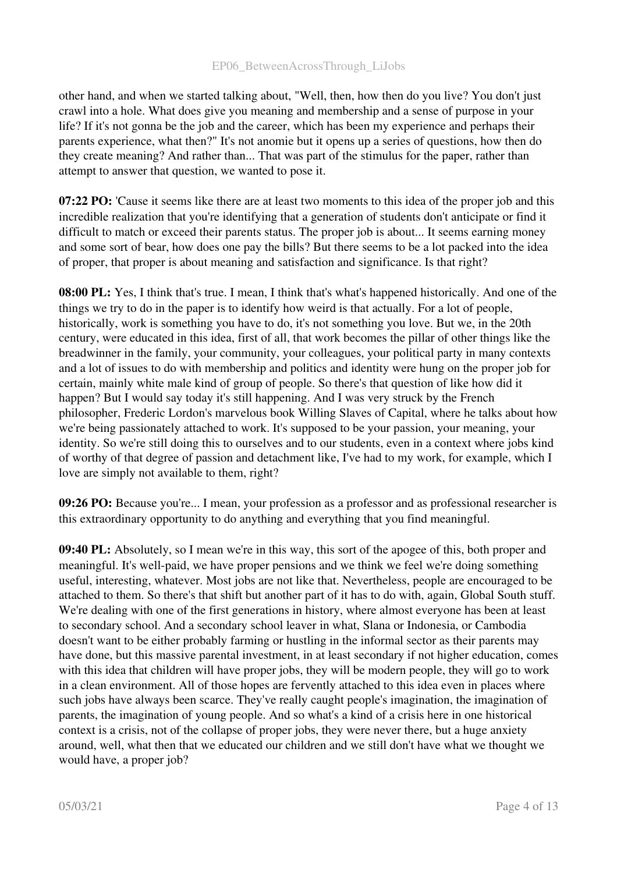other hand, and when we started talking about, "Well, then, how then do you live? You don't just crawl into a hole. What does give you meaning and membership and a sense of purpose in your life? If it's not gonna be the job and the career, which has been my experience and perhaps their parents experience, what then?" It's not anomie but it opens up a series of questions, how then do they create meaning? And rather than... That was part of the stimulus for the paper, rather than attempt to answer that question, we wanted to pose it.

07:22 PO: 'Cause it seems like there are at least two moments to this idea of the proper job and this incredible realization that you're identifying that a generation of students don't anticipate or find it difficult to match or exceed their parents status. The proper job is about... It seems earning money and some sort of bear, how does one pay the bills? But there seems to be a lot packed into the idea of proper, that proper is about meaning and satisfaction and significance. Is that right?

08:00 PL: Yes, I think that's true. I mean, I think that's what's happened historically. And one of the things we try to do in the paper is to identify how weird is that actually. For a lot of people, historically, work is something you have to do, it's not something you love. But we, in the 20th century, were educated in this idea, first of all, that work becomes the pillar of other things like the breadwinner in the family, your community, your colleagues, your political party in many contexts and a lot of issues to do with membership and politics and identity were hung on the proper job for certain, mainly white male kind of group of people. So there's that question of like how did it happen? But I would say today it's still happening. And I was very struck by the French philosopher, Frederic Lordon's marvelous book Willing Slaves of Capital, where he talks about how we're being passionately attached to work. It's supposed to be your passion, your meaning, your identity. So we're still doing this to ourselves and to our students, even in a context where jobs kind of worthy of that degree of passion and detachment like, I've had to my work, for example, which I love are simply not available to them, right?

09:26 PO: Because you're... I mean, your profession as a professor and as professional researcher is this extraordinary opportunity to do anything and everything that you find meaningful.

09:40 PL: Absolutely, so I mean we're in this way, this sort of the apogee of this, both proper and meaningful. It's well-paid, we have proper pensions and we think we feel we're doing something useful, interesting, whatever. Most jobs are not like that. Nevertheless, people are encouraged to be attached to them. So there's that shift but another part of it has to do with, again, Global South stuff. We're dealing with one of the first generations in history, where almost everyone has been at least to secondary school. And a secondary school leaver in what, Slana or Indonesia, or Cambodia doesn't want to be either probably farming or hustling in the informal sector as their parents may have done, but this massive parental investment, in at least secondary if not higher education, comes with this idea that children will have proper jobs, they will be modern people, they will go to work in a clean environment. All of those hopes are fervently attached to this idea even in places where such jobs have always been scarce. They've really caught people's imagination, the imagination of parents, the imagination of young people. And so what's a kind of a crisis here in one historical context is a crisis, not of the collapse of proper jobs, they were never there, but a huge anxiety around, well, what then that we educated our children and we still don't have what we thought we would have, a proper job?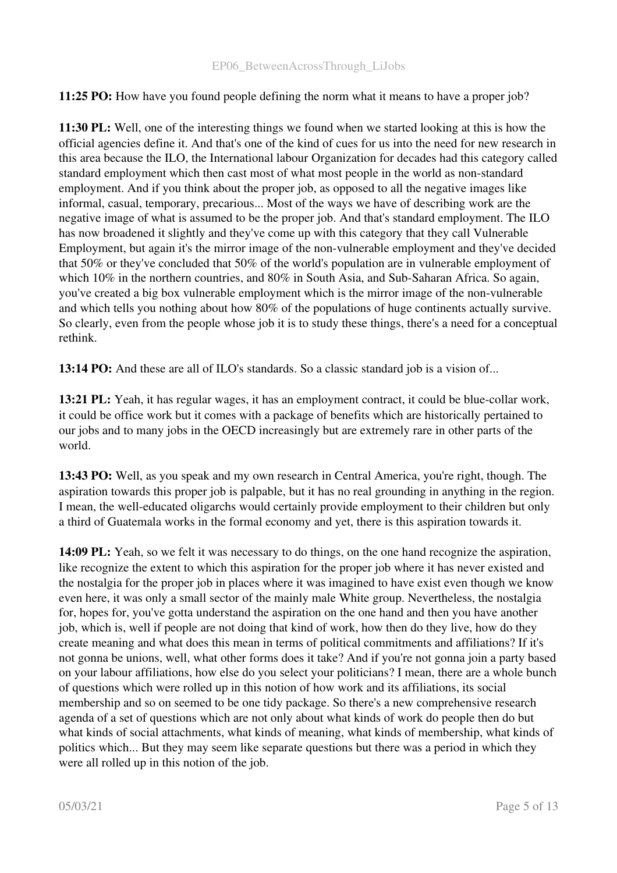11:25 PO: How have you found people defining the norm what it means to have a proper job?

11:30 PL: Well, one of the interesting things we found when we started looking at this is how the official agencies define it. And that's one of the kind of cues for us into the need for new research in this area because the ILO, the International labour Organization for decades had this category called standard employment which then cast most of what most people in the world as non-standard employment. And if you think about the proper job, as opposed to all the negative images like informal, casual, temporary, precarious... Most of the ways we have of describing work are the negative image of what is assumed to be the proper job. And that's standard employment. The ILO has now broadened it slightly and they've come up with this category that they call Vulnerable Employment, but again it's the mirror image of the non-vulnerable employment and they've decided that 50% or they've concluded that 50% of the world's population are in vulnerable employment of which  $10\%$  in the northern countries, and  $80\%$  in South Asia, and Sub-Saharan Africa. So again, you've created a big box vulnerable employment which is the mirror image of the nonvulnerable and which tells you nothing about how 80% of the populations of huge continents actually survive. So clearly, even from the people whose job it is to study these things, there's a need for a conceptual rethink.

13:14 PO: And these are all of ILO's standards. So a classic standard job is a vision of...

13:21 PL: Yeah, it has regular wages, it has an employment contract, it could be blue-collar work, it could be office work but it comes with a package of benefits which are historically pertained to our jobs and to many jobs in the OECD increasingly but are extremely rare in other parts of the world.

13:43 PO: Well, as you speak and my own research in Central America, you're right, though. The aspiration towards this proper job is palpable, but it has no real grounding in anything in the region. I mean, the well-educated oligarchs would certainly provide employment to their children but only a third of Guatemala works in the formal economy and yet, there is this aspiration towards it.

14:09 PL: Yeah, so we felt it was necessary to do things, on the one hand recognize the aspiration, like recognize the extent to which this aspiration for the proper job where it has never existed and the nostalgia for the proper job in places where it was imagined to have exist even though we know even here, it was only a small sector of the mainly male White group. Nevertheless, the nostalgia for, hopes for, you've gotta understand the aspiration on the one hand and then you have another job, which is, well if people are not doing that kind of work, how then do they live, how do they create meaning and what does this mean in terms of political commitments and affiliations? If it's not gonna be unions, well, what other forms does it take? And if you're not gonna join a party based on your labour affiliations, how else do you select your politicians? I mean, there are a whole bunch of questions which were rolled up in this notion of how work and its affiliations, its social membership and so on seemed to be one tidy package. So there's a new comprehensive research agenda of a set of questions which are not only about what kinds of work do people then do but what kinds of social attachments, what kinds of meaning, what kinds of membership, what kinds of politics which... But they may seem like separate questions but there was a period in which they were all rolled up in this notion of the job.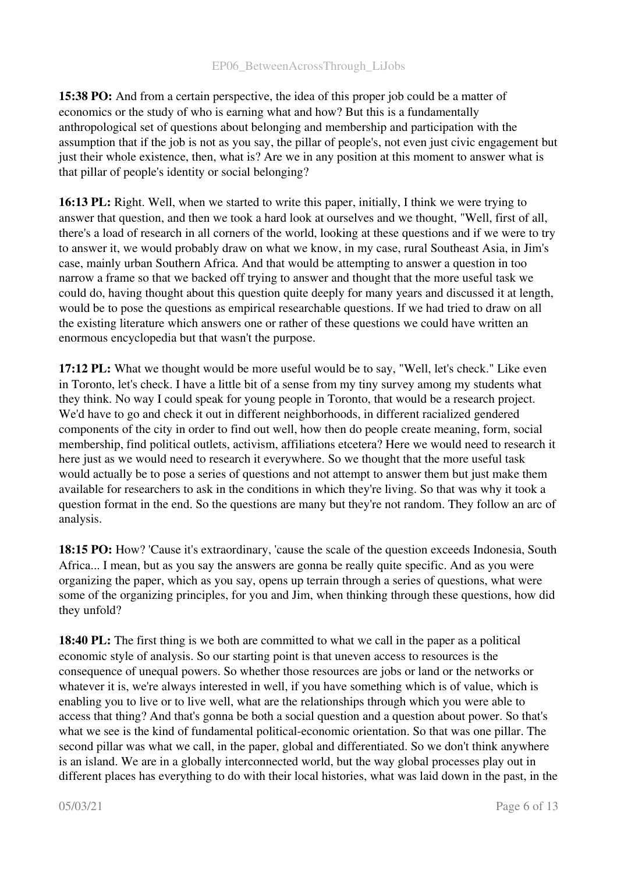15:38 PO: And from a certain perspective, the idea of this proper job could be a matter of economics or the study of who is earning what and how? But this is a fundamentally anthropological set of questions about belonging and membership and participation with the assumption that if the job is not as you say, the pillar of people's, not even just civic engagement but just their whole existence, then, what is? Are we in any position at this moment to answer what is that pillar of people's identity or social belonging?

16:13 PL: Right. Well, when we started to write this paper, initially, I think we were trying to answer that question, and then we took a hard look at ourselves and we thought, "Well, first of all, there's a load of research in all corners of the world, looking at these questions and if we were to try to answer it, we would probably draw on what we know, in my case, rural Southeast Asia, in Jim's case, mainly urban Southern Africa. And that would be attempting to answer a question in too narrow a frame so that we backed off trying to answer and thought that the more useful task we could do, having thought about this question quite deeply for many years and discussed it at length, would be to pose the questions as empirical researchable questions. If we had tried to draw on all the existing literature which answers one or rather of these questions we could have written an enormous encyclopedia but that wasn't the purpose.

17:12 PL: What we thought would be more useful would be to say, "Well, let's check." Like even in Toronto, let's check. I have a little bit of a sense from my tiny survey among my students what they think. No way I could speak for young people in Toronto, that would be a research project. We'd have to go and check it out in different neighborhoods, in different racialized gendered components of the city in order to find out well, how then do people create meaning, form, social membership, find political outlets, activism, affiliations etcetera? Here we would need to research it here just as we would need to research it everywhere. So we thought that the more useful task would actually be to pose a series of questions and not attempt to answer them but just make them available for researchers to ask in the conditions in which they're living. So that was why it took a question format in the end. So the questions are many but they're not random. They follow an arc of analysis.

18:15 PO: How? 'Cause it's extraordinary, 'cause the scale of the question exceeds Indonesia, South Africa... I mean, but as you say the answers are gonna be really quite specific. And as you were organizing the paper, which as you say, opens up terrain through a series of questions, what were some of the organizing principles, for you and Jim, when thinking through these questions, how did they unfold?

18:40 PL: The first thing is we both are committed to what we call in the paper as a political economic style of analysis. So our starting point is that uneven access to resources is the consequence of unequal powers. So whether those resources are jobs or land or the networks or whatever it is, we're always interested in well, if you have something which is of value, which is enabling you to live or to live well, what are the relationships through which you were able to access that thing? And that's gonna be both a social question and a question about power. So that's what we see is the kind of fundamental political-economic orientation. So that was one pillar. The second pillar was what we call, in the paper, global and differentiated. So we don't think anywhere is an island. We are in a globally interconnected world, but the way global processes play out in different places has everything to do with their local histories, what was laid down in the past, in the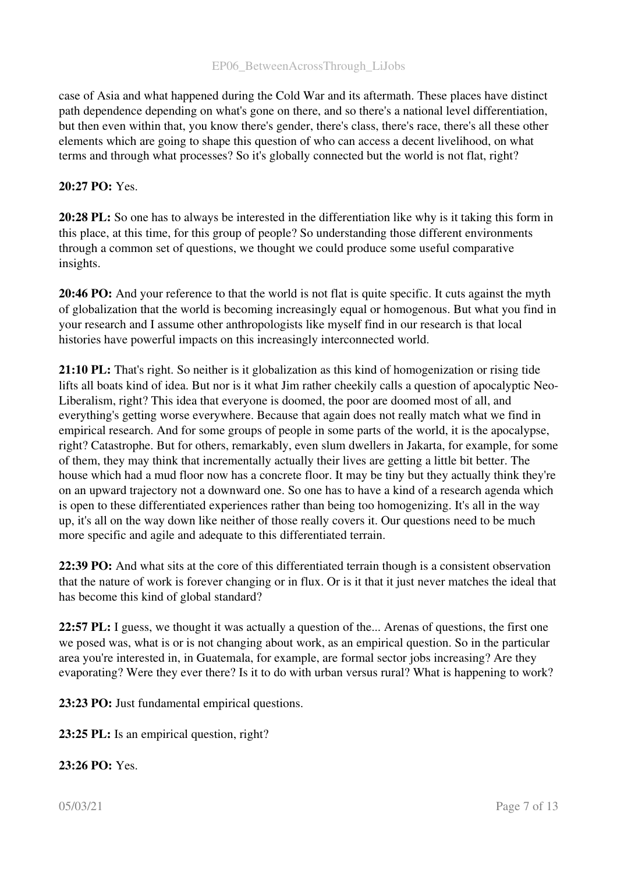case of Asia and what happened during the Cold War and its aftermath. These places have distinct path dependence depending on what's gone on there, and so there's a national level differentiation, but then even within that, you know there's gender, there's class, there's race, there's all these other elements which are going to shape this question of who can access a decent livelihood, on what terms and through what processes? So it's globally connected but the world is not flat, right?

### 20:27 PO: Yes.

20:28 PL: So one has to always be interested in the differentiation like why is it taking this form in this place, at this time, for this group of people? So understanding those different environments through a common set of questions, we thought we could produce some useful comparative insights.

20:46 PO: And your reference to that the world is not flat is quite specific. It cuts against the myth of globalization that the world is becoming increasingly equal or homogenous. But what you find in your research and I assume other anthropologists like myself find in our research is that local histories have powerful impacts on this increasingly interconnected world.

21:10 PL: That's right. So neither is it globalization as this kind of homogenization or rising tide lifts all boats kind of idea. But nor is it what Jim rather cheekily calls a question of apocalyptic Neo-Liberalism, right? This idea that everyone is doomed, the poor are doomed most of all, and everything's getting worse everywhere. Because that again does not really match what we find in empirical research. And for some groups of people in some parts of the world, it is the apocalypse, right? Catastrophe. But for others, remarkably, even slum dwellers in Jakarta, for example, for some of them, they may think that incrementally actually their lives are getting a little bit better. The house which had a mud floor now has a concrete floor. It may be tiny but they actually think they're on an upward trajectory not a downward one. So one has to have a kind of a research agenda which is open to these differentiated experiences rather than being too homogenizing. It's all in the way up, it's all on the way down like neither of those really covers it. Our questions need to be much more specific and agile and adequate to this differentiated terrain.

22:39 PO: And what sits at the core of this differentiated terrain though is a consistent observation that the nature of work is forever changing or in flux. Or is it that it just never matches the ideal that has become this kind of global standard?

22:57 PL: I guess, we thought it was actually a question of the... Arenas of questions, the first one we posed was, what is or is not changing about work, as an empirical question. So in the particular area you're interested in, in Guatemala, for example, are formal sector jobs increasing? Are they evaporating? Were they ever there? Is it to do with urban versus rural? What is happening to work?

23:23 PO: Just fundamental empirical questions.

23:25 PL: Is an empirical question, right?

#### 23:26 PO: Yes.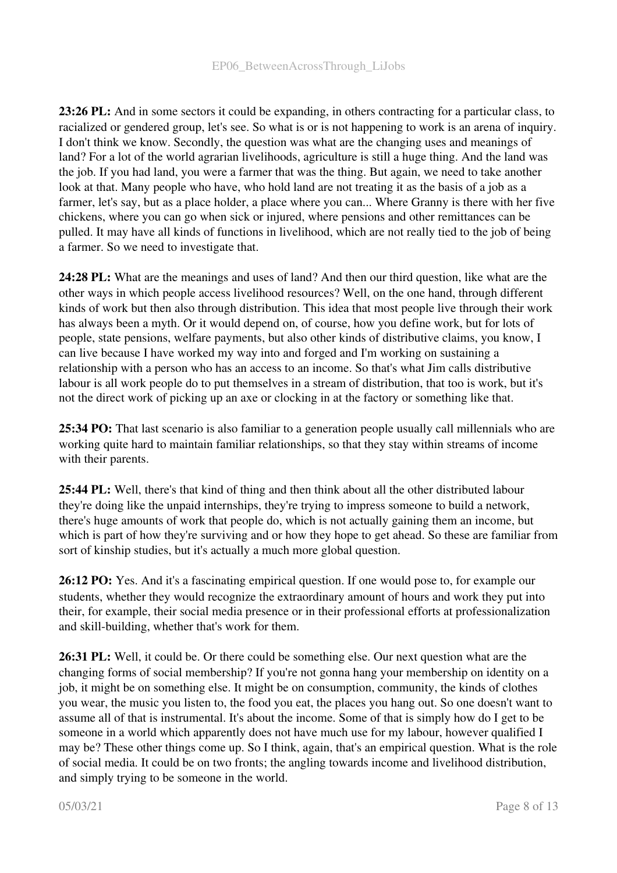23:26 PL: And in some sectors it could be expanding, in others contracting for a particular class, to racialized or gendered group, let's see. So what is or is not happening to work is an arena of inquiry. I don't think we know. Secondly, the question was what are the changing uses and meanings of land? For a lot of the world agrarian livelihoods, agriculture is still a huge thing. And the land was the job. If you had land, you were a farmer that was the thing. But again, we need to take another look at that. Many people who have, who hold land are not treating it as the basis of a job as a farmer, let's say, but as a place holder, a place where you can... Where Granny is there with her five chickens, where you can go when sick or injured, where pensions and other remittances can be pulled. It may have all kinds of functions in livelihood, which are not really tied to the job of being a farmer. So we need to investigate that.

24:28 PL: What are the meanings and uses of land? And then our third question, like what are the other ways in which people access livelihood resources? Well, on the one hand, through different kinds of work but then also through distribution. This idea that most people live through their work has always been a myth. Or it would depend on, of course, how you define work, but for lots of people, state pensions, welfare payments, but also other kinds of distributive claims, you know, I can live because I have worked my way into and forged and I'm working on sustaining a relationship with a person who has an access to an income. So that's what Jim calls distributive labour is all work people do to put themselves in a stream of distribution, that too is work, but it's not the direct work of picking up an axe or clocking in at the factory or something like that.

25:34 PO: That last scenario is also familiar to a generation people usually call millennials who are working quite hard to maintain familiar relationships, so that they stay within streams of income with their parents.

25:44 PL: Well, there's that kind of thing and then think about all the other distributed labour they're doing like the unpaid internships, they're trying to impress someone to build a network, there's huge amounts of work that people do, which is not actually gaining them an income, but which is part of how they're surviving and or how they hope to get ahead. So these are familiar from sort of kinship studies, but it's actually a much more global question.

26:12 PO: Yes. And it's a fascinating empirical question. If one would pose to, for example our students, whether they would recognize the extraordinary amount of hours and work they put into their, for example, their social media presence or in their professional efforts at professionalization and skill-building, whether that's work for them.

26:31 PL: Well, it could be. Or there could be something else. Our next question what are the changing forms of social membership? If you're not gonna hang your membership on identity on a job, it might be on something else. It might be on consumption, community, the kinds of clothes you wear, the music you listen to, the food you eat, the places you hang out. So one doesn't want to assume all of that is instrumental. It's about the income. Some of that is simply how do I get to be someone in a world which apparently does not have much use for my labour, however qualified I may be? These other things come up. So I think, again, that's an empirical question. What is the role of social media. It could be on two fronts; the angling towards income and livelihood distribution, and simply trying to be someone in the world.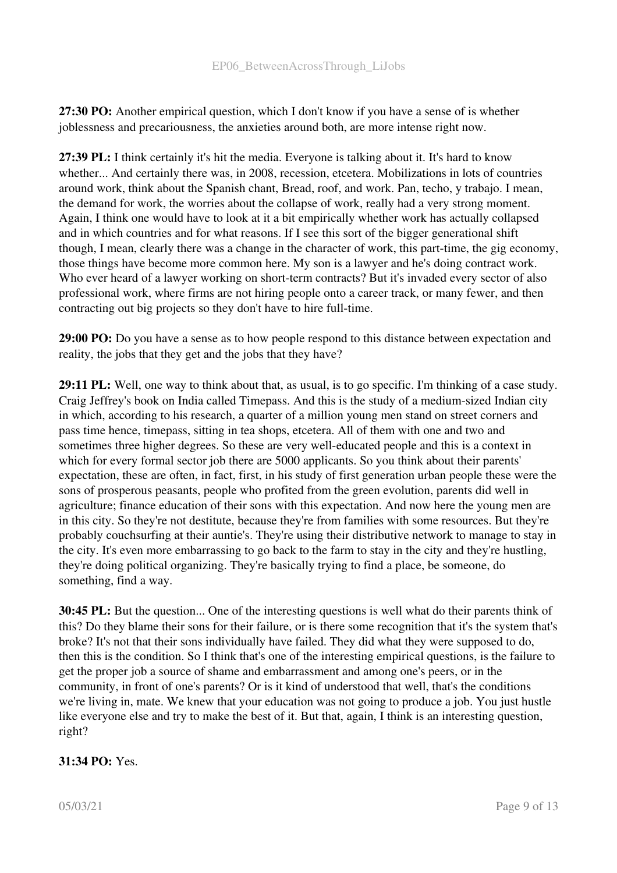27:30 PO: Another empirical question, which I don't know if you have a sense of is whether joblessness and precariousness, the anxieties around both, are more intense right now.

27:39 PL: I think certainly it's hit the media. Everyone is talking about it. It's hard to know whether... And certainly there was, in 2008, recession, etcetera. Mobilizations in lots of countries around work, think about the Spanish chant, Bread, roof, and work. Pan, techo, y trabajo. I mean, the demand for work, the worries about the collapse of work, really had a very strong moment. Again, I think one would have to look at it a bit empirically whether work has actually collapsed and in which countries and for what reasons. If I see this sort of the bigger generational shift though, I mean, clearly there was a change in the character of work, this part-time, the gig economy, those things have become more common here. My son is a lawyer and he's doing contract work. Who ever heard of a lawyer working on short-term contracts? But it's invaded every sector of also professional work, where firms are not hiring people onto a career track, or many fewer, and then contracting out big projects so they don't have to hire full-time.

29:00 PO: Do you have a sense as to how people respond to this distance between expectation and reality, the jobs that they get and the jobs that they have?

29:11 PL: Well, one way to think about that, as usual, is to go specific. I'm thinking of a case study. Craig Jeffrey's book on India called Timepass. And this is the study of a mediumsized Indian city in which, according to his research, a quarter of a million young men stand on street corners and pass time hence, timepass, sitting in tea shops, etcetera. All of them with one and two and sometimes three higher degrees. So these are very well-educated people and this is a context in which for every formal sector job there are 5000 applicants. So you think about their parents' expectation, these are often, in fact, first, in his study of first generation urban people these were the sons of prosperous peasants, people who profited from the green evolution, parents did well in agriculture; finance education of their sons with this expectation. And now here the young men are in this city. So they're not destitute, because they're from families with some resources. But they're probably couchsurfing at their auntie's. They're using their distributive network to manage to stay in the city. It's even more embarrassing to go back to the farm to stay in the city and they're hustling, they're doing political organizing. They're basically trying to find a place, be someone, do something, find a way.

30:45 PL: But the question... One of the interesting questions is well what do their parents think of this? Do they blame their sons for their failure, or is there some recognition that it's the system that's broke? It's not that their sons individually have failed. They did what they were supposed to do, then this is the condition. So I think that's one of the interesting empirical questions, is the failure to get the proper job a source of shame and embarrassment and among one's peers, or in the community, in front of one's parents? Or is it kind of understood that well, that's the conditions we're living in, mate. We knew that your education was not going to produce a job. You just hustle like everyone else and try to make the best of it. But that, again, I think is an interesting question, right?

# 31:34 PO: Yes.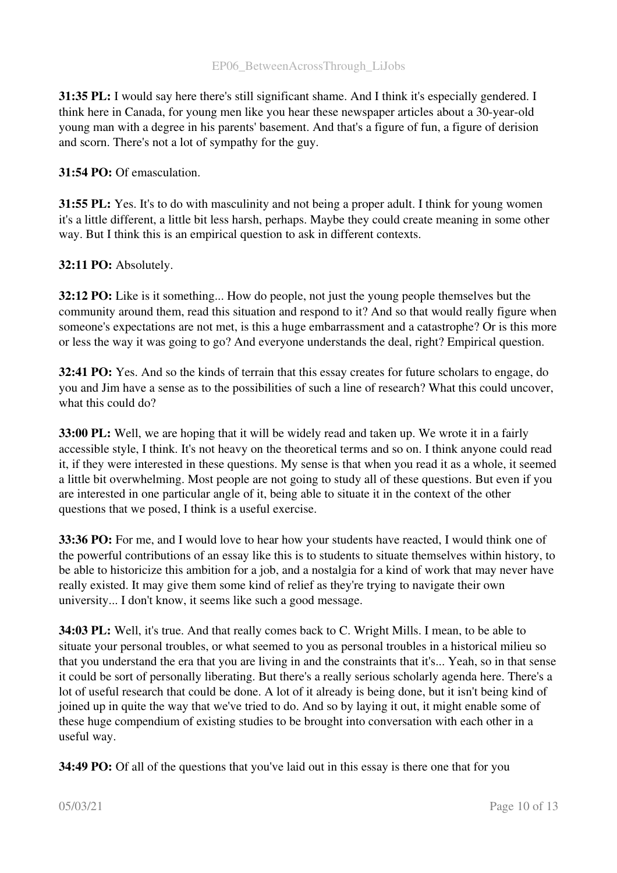31:35 PL: I would say here there's still significant shame. And I think it's especially gendered. I think here in Canada, for young men like you hear these newspaper articles about a 30-year-old young man with a degree in his parents' basement. And that's a figure of fun, a figure of derision and scorn. There's not a lot of sympathy for the guy.

#### 31:54 PO: Of emasculation.

31:55 PL: Yes. It's to do with masculinity and not being a proper adult. I think for young women it's a little different, a little bit less harsh, perhaps. Maybe they could create meaning in some other way. But I think this is an empirical question to ask in different contexts.

# 32:11 PO: Absolutely.

32:12 PO: Like is it something... How do people, not just the young people themselves but the community around them, read this situation and respond to it? And so that would really figure when someone's expectations are not met, is this a huge embarrassment and a catastrophe? Or is this more or less the way it was going to go? And everyone understands the deal, right? Empirical question.

32:41 PO: Yes. And so the kinds of terrain that this essay creates for future scholars to engage, do you and Jim have a sense as to the possibilities of such a line of research? What this could uncover, what this could do?

**33:00 PL:** Well, we are hoping that it will be widely read and taken up. We wrote it in a fairly accessible style, I think. It's not heavy on the theoretical terms and so on. I think anyone could read it, if they were interested in these questions. My sense is that when you read it as a whole, it seemed a little bit overwhelming. Most people are not going to study all of these questions. But even if you are interested in one particular angle of it, being able to situate it in the context of the other questions that we posed, I think is a useful exercise.

33:36 PO: For me, and I would love to hear how your students have reacted. I would think one of the powerful contributions of an essay like this is to students to situate themselves within history, to be able to historicize this ambition for a job, and a nostalgia for a kind of work that may never have really existed. It may give them some kind of relief as they're trying to navigate their own university... I don't know, it seems like such a good message.

34:03 PL: Well, it's true. And that really comes back to C. Wright Mills. I mean, to be able to situate your personal troubles, or what seemed to you as personal troubles in a historical milieu so that you understand the era that you are living in and the constraints that it's... Yeah, so in that sense it could be sort of personally liberating. But there's a really serious scholarly agenda here. There's a lot of useful research that could be done. A lot of it already is being done, but it isn't being kind of joined up in quite the way that we've tried to do. And so by laying it out, it might enable some of these huge compendium of existing studies to be brought into conversation with each other in a useful way.

**34:49 PO:** Of all of the questions that you've laid out in this essay is there one that for you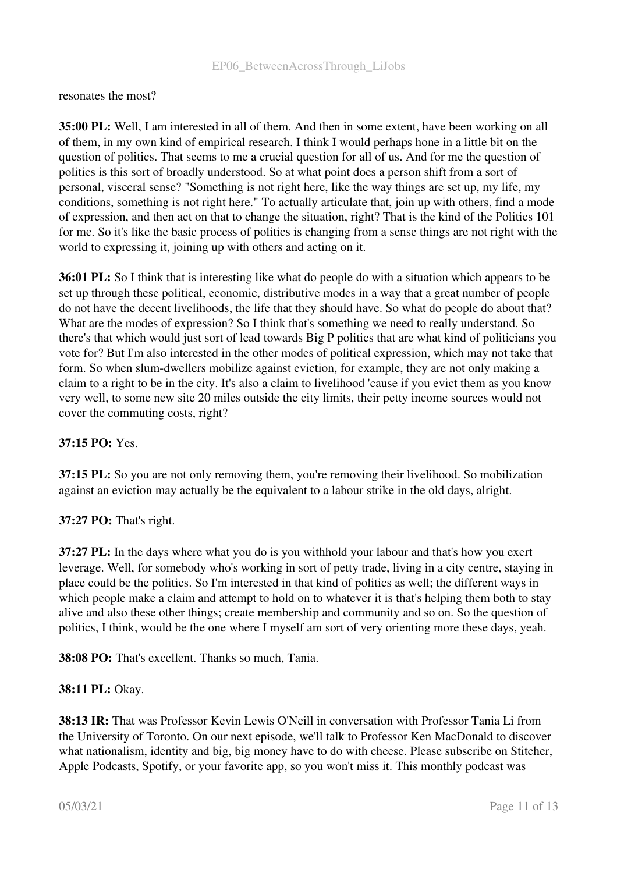resonates the most?

35:00 PL: Well, I am interested in all of them. And then in some extent, have been working on all of them, in my own kind of empirical research. I think I would perhaps hone in a little bit on the question of politics. That seems to me a crucial question for all of us. And for me the question of politics is this sort of broadly understood. So at what point does a person shift from a sort of personal, visceral sense? "Something is not right here, like the way things are set up, my life, my conditions, something is not right here." To actually articulate that, join up with others, find a mode of expression, and then act on that to change the situation, right? That is the kind of the Politics 101 for me. So it's like the basic process of politics is changing from a sense things are not right with the world to expressing it, joining up with others and acting on it.

36:01 PL: So I think that is interesting like what do people do with a situation which appears to be set up through these political, economic, distributive modes in a way that a great number of people do not have the decent livelihoods, the life that they should have. So what do people do about that? What are the modes of expression? So I think that's something we need to really understand. So there's that which would just sort of lead towards Big P politics that are what kind of politicians you vote for? But I'm also interested in the other modes of political expression, which may not take that form. So when slum-dwellers mobilize against eviction, for example, they are not only making a claim to a right to be in the city. It's also a claim to livelihood 'cause if you evict them as you know very well, to some new site 20 miles outside the city limits, their petty income sources would not cover the commuting costs, right?

# 37:15 PO: Yes.

37:15 PL: So you are not only removing them, you're removing their livelihood. So mobilization against an eviction may actually be the equivalent to a labour strike in the old days, alright.

#### 37:27 PO: That's right.

37:27 PL: In the days where what you do is you withhold your labour and that's how you exert leverage. Well, for somebody who's working in sort of petty trade, living in a city centre, staying in place could be the politics. So I'm interested in that kind of politics as well; the different ways in which people make a claim and attempt to hold on to whatever it is that's helping them both to stay alive and also these other things; create membership and community and so on. So the question of politics, I think, would be the one where I myself am sort of very orienting more these days, yeah.

38:08 PO: That's excellent. Thanks so much, Tania.

#### 38:11 PL: Okay.

38:13 IR: That was Professor Kevin Lewis O'Neill in conversation with Professor Tania Li from the University of Toronto. On our next episode, we'll talk to Professor Ken MacDonald to discover what nationalism, identity and big, big money have to do with cheese. Please subscribe on Stitcher, Apple Podcasts, Spotify, or your favorite app, so you won't miss it. This monthly podcast was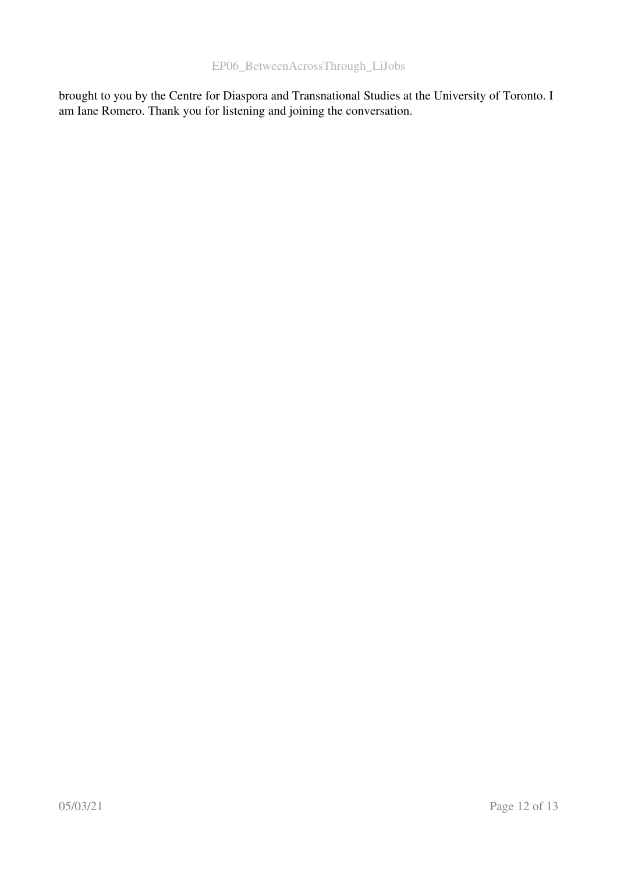brought to you by the Centre for Diaspora and Transnational Studies at the University of Toronto. I am Iane Romero. Thank you for listening and joining the conversation.